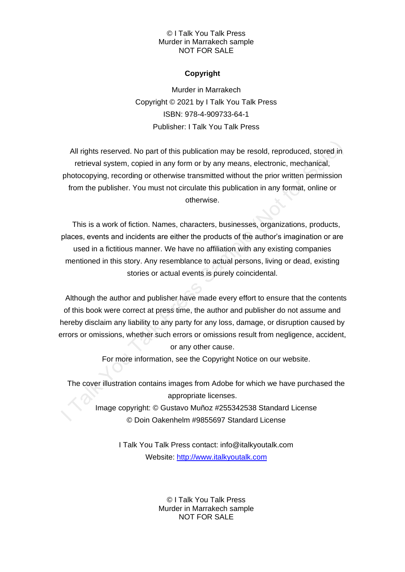## © I Talk You Talk Press Murder in Marrakech sample NOT FOR SALE

# **Copyright**

Murder in Marrakech Copyright © 2021 by I Talk You Talk Press ISBN: 978-4-909733-64-1 Publisher: I Talk You Talk Press

All rights reserved. No part of this publication may be resold, reproduced, stored in retrieval system, copied in any form or by any means, electronic, mechanical, photocopying, recording or otherwise transmitted without the prior written permission from the publisher. You must not circulate this publication in any format, online or otherwise.

This is a work of fiction. Names, characters, businesses, organizations, products, places, events and incidents are either the products of the author's imagination or are used in a fictitious manner. We have no affiliation with any existing companies mentioned in this story. Any resemblance to actual persons, living or dead, existing stories or actual events is purely coincidental.

Although the author and publisher have made every effort to ensure that the contents of this book were correct at press time, the author and publisher do not assume and hereby disclaim any liability to any party for any loss, damage, or disruption caused by errors or omissions, whether such errors or omissions result from negligence, accident, or any other cause.

For more information, see the Copyright Notice on our website.

The cover illustration contains images from Adobe for which we have purchased the appropriate licenses.

Image copyright: © Gustavo Muñoz #255342538 Standard License © Doin Oakenhelm #9855697 Standard License

> I Talk You Talk Press contact: info@italkyoutalk.com Website: [http://www.italkyoutalk.com](http://www.italkyoutalk.com/)

> > © I Talk You Talk Press Murder in Marrakech sample NOT FOR SALE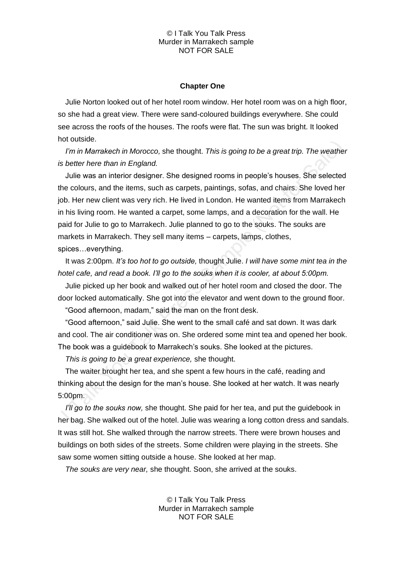#### © I Talk You Talk Press Murder in Marrakech sample NOT FOR SALE

## **Chapter One**

Julie Norton looked out of her hotel room window. Her hotel room was on a high floor, so she had a great view. There were sand-coloured buildings everywhere. She could see across the roofs of the houses. The roofs were flat. The sun was bright. It looked hot outside.

*I'm in Marrakech in Morocco,* she thought. *This is going to be a great trip. The weather is better here than in England.* 

Julie was an interior designer. She designed rooms in people's houses. She selected the colours, and the items, such as carpets, paintings, sofas, and chairs. She loved her job. Her new client was very rich. He lived in London. He wanted items from Marrakech in his living room. He wanted a carpet, some lamps, and a decoration for the wall. He paid for Julie to go to Marrakech. Julie planned to go to the souks. The souks are markets in Marrakech. They sell many items – carpets, lamps, clothes, spices…everything.

It was 2:00pm. *It's too hot to go outside,* thought Julie. *I will have some mint tea in the hotel cafe, and read a book. I'll go to the souks when it is cooler, at about 5:00pm.*

Julie picked up her book and walked out of her hotel room and closed the door. The door locked automatically. She got into the elevator and went down to the ground floor.

"Good afternoon, madam," said the man on the front desk.

"Good afternoon," said Julie. She went to the small café and sat down. It was dark and cool. The air conditioner was on. She ordered some mint tea and opened her book. The book was a guidebook to Marrakech's souks. She looked at the pictures.

*This is going to be a great experience,* she thought.

The waiter brought her tea, and she spent a few hours in the café, reading and thinking about the design for the man's house. She looked at her watch. It was nearly 5:00pm.

*I'll go to the souks now,* she thought. She paid for her tea, and put the guidebook in her bag. She walked out of the hotel. Julie was wearing a long cotton dress and sandals. It was still hot. She walked through the narrow streets. There were brown houses and buildings on both sides of the streets. Some children were playing in the streets. She saw some women sitting outside a house. She looked at her map.

*The souks are very near,* she thought. Soon, she arrived at the souks.

© I Talk You Talk Press Murder in Marrakech sample NOT FOR SALE